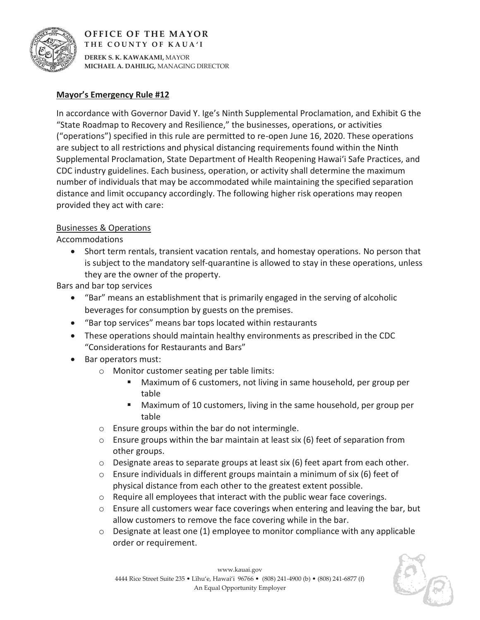

## **OFFICE OF THE MAYOR THE COUNTY OF KAUA'I**

**DEREK S. K. KAWAKAMI,** MAYOR **MICHAEL A. DAHILIG,** MANAGING DIRECTOR

## **Mayor's Emergency Rule #12**

In accordance with Governor David Y. Ige's Ninth Supplemental Proclamation, and Exhibit G the "State Roadmap to Recovery and Resilience," the businesses, operations, or activities ("operations") specified in this rule are permitted to re-open June 16, 2020. These operations are subject to all restrictions and physical distancing requirements found within the Ninth Supplemental Proclamation, State Department of Health Reopening Hawai'i Safe Practices, and CDC industry guidelines. Each business, operation, or activity shall determine the maximum number of individuals that may be accommodated while maintaining the specified separation distance and limit occupancy accordingly. The following higher risk operations may reopen provided they act with care:

## Businesses & Operations

Accommodations

• Short term rentals, transient vacation rentals, and homestay operations. No person that is subject to the mandatory self-quarantine is allowed to stay in these operations, unless they are the owner of the property.

Bars and bar top services

- "Bar" means an establishment that is primarily engaged in the serving of alcoholic beverages for consumption by guests on the premises.
- x "Bar top services" means bar tops located within restaurants
- These operations should maintain healthy environments as prescribed in the CDC "Considerations for Restaurants and Bars"
- Bar operators must:
	- o Monitor customer seating per table limits:
		- Maximum of 6 customers, not living in same household, per group per table
		- Maximum of 10 customers, living in the same household, per group per table
	- o Ensure groups within the bar do not intermingle.
	- $\circ$  Ensure groups within the bar maintain at least six (6) feet of separation from other groups.
	- $\circ$  Designate areas to separate groups at least six (6) feet apart from each other.
	- $\circ$  Ensure individuals in different groups maintain a minimum of six (6) feet of physical distance from each other to the greatest extent possible.
	- o Require all employees that interact with the public wear face coverings.
	- $\circ$  Ensure all customers wear face coverings when entering and leaving the bar, but allow customers to remove the face covering while in the bar.
	- $\circ$  Designate at least one (1) employee to monitor compliance with any applicable order or requirement.